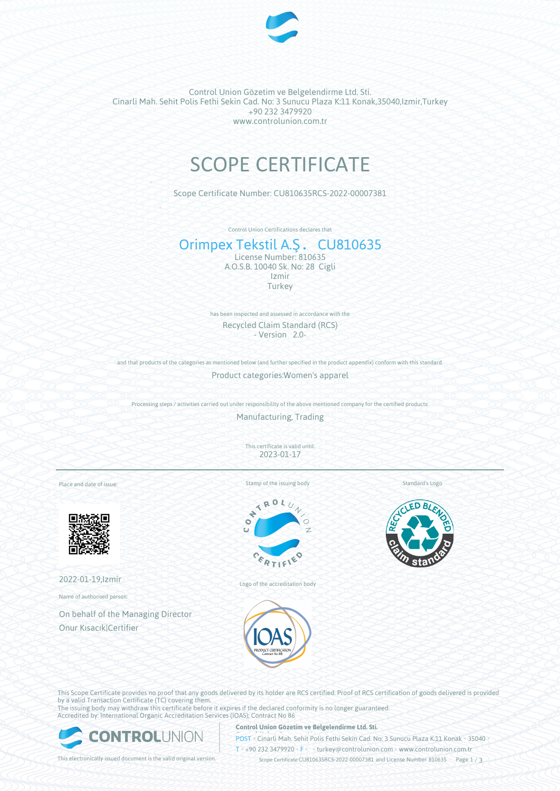

Control Union Gözetim ve Belgelendirme Ltd. Sti. Cinarli Mah. Sehit Polis Fethi Sekin Cad. No: 3 Sunucu Plaza K:11 Konak,35040,Izmir,Turkey +90 232 3479920 www.controlunion.com.tr

# SCOPE CERTIFICATE

Scope Certificate Number: CU810635RCS-2022-00007381

Control Union Certifications declares that

## Orimpex Tekstil A.Ş. CU810635 License Number: 810635 A.O.S.B. 10040 Sk. No: 28 Cigli

Izmir **Turkey** 

has been inspected and assessed in accordance with the Recycled Claim Standard (RCS) - Version 2.0-

and that products of the categories as mentioned below (and further specified in the product appendix) conform with this standard. Product categories:Women's apparel

Processing steps / activities carried out under responsibility of the above mentioned company for the certified products:

Manufacturing, Trading

This certificate is valid until: 2023-01-17

Place and date of issue:



2022-01-19,Izmir

Name of authorised person:

On behalf of the Managing Director Onur Kısacık|Certifier

Stamp of the issuing body





Logo of the accreditation body





This Scope Certificate provides no proof that any goods delivered by its holder are RCS certified. Proof of RCS certification of goods delivered is provided by a valid Transaction Certificate (TC) covering them. The issuing body may withdraw this certificate before it expires if the declared conformity is no longer guaranteed.

Accredited by: International Organic Accreditation Services (IOAS); Contract No 86



**Control Union Gözetim ve Belgelendirme Ltd. Sti.**

**POST** Cinarli Mah. Sehit Polis Fethi Sekin Cad. No: 3 Sunucu Plaza K:11 Konak • 35040

T • +90 232 3479920 • F • • turkey@controlunion.com • www.controlunion.com.tr

This electronically issued document is the valid original version. Scope Certificate CU810635RCS-2022-00007381 and License Number 810635 Page 1 / 3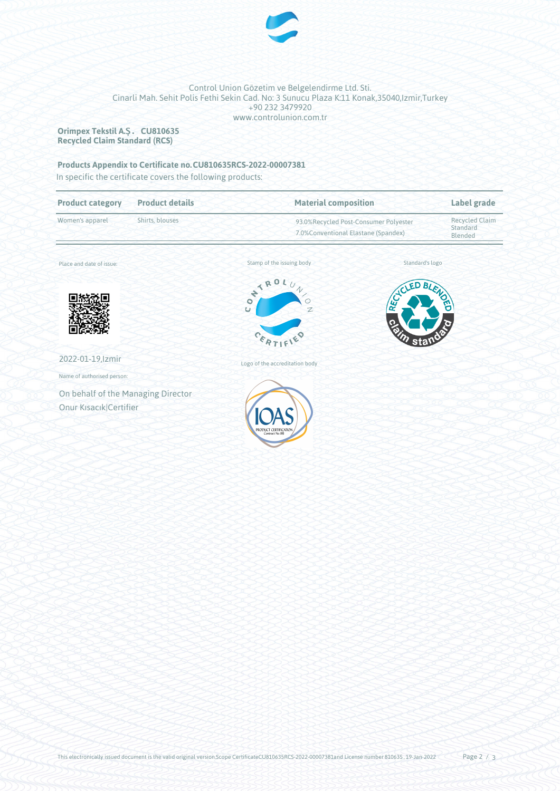

### Control Union Gözetim ve Belgelendirme Ltd. Sti. Cinarli Mah. Sehit Polis Fethi Sekin Cad. No: 3 Sunucu Plaza K:11 Konak,35040,Izmir,Turkey +90 232 3479920 www.controlunion.com.tr

**Orimpex Tekstil A.Ş. CU810635 Recycled Claim Standard (RCS)**

# **Products Appendix to Certificate no.CU810635RCS-2022-00007381**

In specific the certificate covers the following products:

| <b>Product category</b>            | <b>Product details</b> | <b>Material composition</b>                                                   |                 | Label grade                                  |
|------------------------------------|------------------------|-------------------------------------------------------------------------------|-----------------|----------------------------------------------|
| Shirts, blouses<br>Women's apparel |                        | 93.0%Recycled Post-Consumer Polyester<br>7.0% Conventional Elastane (Spandex) |                 | <b>Recycled Claim</b><br>Standard<br>Blended |
| Place and date of issue:           |                        | Stamp of the issuing body                                                     | Standard's logo |                                              |
|                                    |                        | ONTROL.<br>$\overline{U}$<br>$\gamma$<br>$\circ$<br>Ü<br>$\mathbb{Z}$         | RECICLED        | BLENOC                                       |
|                                    |                        | $c_{k_{R}T}$                                                                  | ດ<br>శ<br>sta   |                                              |
| 2022-01-19, Izmir                  |                        | Logo of the accreditation body                                                |                 |                                              |
| Name of authorised person:         |                        |                                                                               |                 |                                              |
| On behalf of the Managing Director |                        |                                                                               |                 |                                              |
| Onur Kısacık Certifier             |                        | PRODUCT CERTIFICATION                                                         |                 |                                              |
|                                    |                        |                                                                               |                 |                                              |
|                                    |                        |                                                                               |                 |                                              |